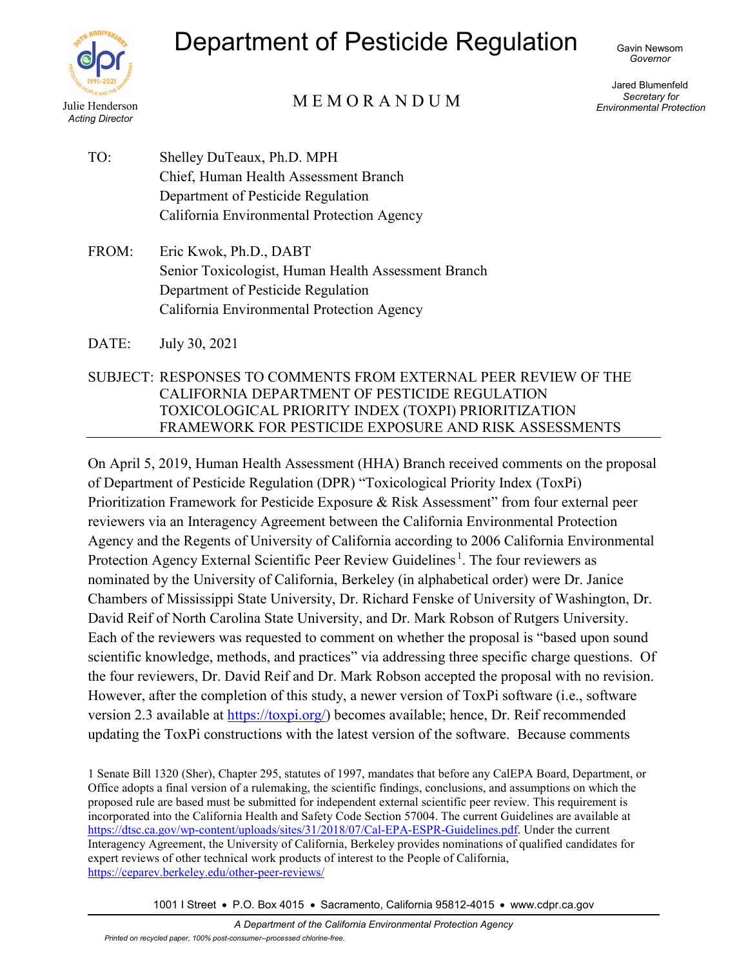

# Department of Pesticide Regulation

Gavin Newsom *Governor*

# Julie Henderson MEMORANDUM

Jared Blumenfeld *Secretary for Environmental Protection*

- TO: Shelley DuTeaux, Ph.D. MPH Chief, Human Health Assessment Branch Department of Pesticide Regulation California Environmental Protection Agency
- FROM: Eric Kwok, Ph.D., DABT Senior Toxicologist, Human Health Assessment Branch Department of Pesticide Regulation California Environmental Protection Agency
- DATE: July 30, 2021
- SUBJECT: RESPONSES TO COMMENTS FROM EXTERNAL PEER REVIEW OF THE CALIFORNIA DEPARTMENT OF PESTICIDE REGULATION TOXICOLOGICAL PRIORITY INDEX (TOXPI) PRIORITIZATION FRAMEWORK FOR PESTICIDE EXPOSURE AND RISK ASSESSMENTS

On April 5, 2019, Human Health Assessment (HHA) Branch received comments on the proposal of Department of Pesticide Regulation (DPR) "Toxicological Priority Index (ToxPi) Prioritization Framework for Pesticide Exposure & Risk Assessment" from four external peer reviewers via an Interagency Agreement between the California Environmental Protection Agency and the Regents of University of California according to 2006 California Environmental Protection Agency External Scientific Peer Review Guidelines<sup>1</sup>. The four reviewers as nominated by the University of California, Berkeley (in alphabetical order) were Dr. Janice Chambers of Mississippi State University, Dr. Richard Fenske of University of Washington, Dr. David Reif of North Carolina State University, and Dr. Mark Robson of Rutgers University. Each of the reviewers was requested to comment on whether the proposal is "based upon sound scientific knowledge, methods, and practices" via addressing three specific charge questions. Of the four reviewers, Dr. David Reif and Dr. Mark Robson accepted the proposal with no revision. However, after the completion of this study, a newer version of ToxPi software (i.e., software version 2.3 available at **[https://toxpi.org/\)](about:blank)** becomes available; hence, Dr. Reif recommended updating the ToxPi constructions with the latest version of the software. Because comments

1 Senate Bill 1320 (Sher), Chapter 295, statutes of 1997, mandates that before any CalEPA Board, Department, or Office adopts a final version of a rulemaking, the scientific findings, conclusions, and assumptions on which the proposed rule are based must be submitted for independent external scientific peer review. This requirement is incorporated into the California Health and Safety Code Section 57004. The current Guidelines are available at [https://dtsc.ca.gov/wp-content/uploads/sites/31/2018/07/Cal-EPA-ESPR-Guidelines.pdf.](https://dtsc.ca.gov/wp-content/uploads/sites/31/2018/07/Cal-EPA-ESPR-Guidelines.pdf) Under the current Interagency Agreement, the University of California, Berkeley provides nominations of qualified candidates for expert reviews of other technical work products of interest to the People of California, <https://ceparev.berkeley.edu/other-peer-reviews/>

1001 I Street • P.O. Box 4015 • Sacramento, California 95812-4015 • www.cdpr.ca.gov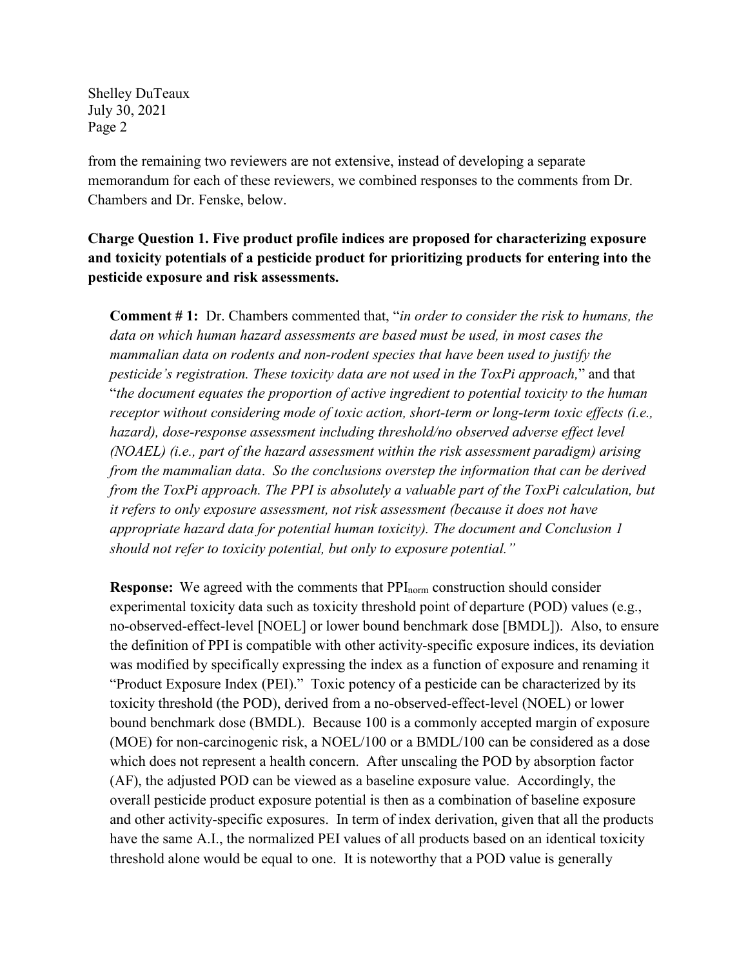from the remaining two reviewers are not extensive, instead of developing a separate memorandum for each of these reviewers, we combined responses to the comments from Dr. Chambers and Dr. Fenske, below.

## **Charge Question 1. Five product profile indices are proposed for characterizing exposure and toxicity potentials of a pesticide product for prioritizing products for entering into the pesticide exposure and risk assessments.**

**Comment # 1:** Dr. Chambers commented that, "*in order to consider the risk to humans, the data on which human hazard assessments are based must be used, in most cases the mammalian data on rodents and non-rodent species that have been used to justify the pesticide's registration. These toxicity data are not used in the ToxPi approach,*" and that "*the document equates the proportion of active ingredient to potential toxicity to the human receptor without considering mode of toxic action, short-term or long-term toxic effects (i.e.,*  hazard), dose-response assessment including threshold/no observed adverse effect level *(NOAEL) (i.e., part of the hazard assessment within the risk assessment paradigm) arising from the mammalian data*. *So the conclusions overstep the information that can be derived from the ToxPi approach. The PPI is absolutely a valuable part of the ToxPi calculation, but it refers to only exposure assessment, not risk assessment (because it does not have appropriate hazard data for potential human toxicity). The document and Conclusion 1 should not refer to toxicity potential, but only to exposure potential."*

**Response:** We agreed with the comments that PPI<sub>norm</sub> construction should consider experimental toxicity data such as toxicity threshold point of departure (POD) values (e.g., no-observed-effect-level [NOEL] or lower bound benchmark dose [BMDL]). Also, to ensure the definition of PPI is compatible with other activity-specific exposure indices, its deviation was modified by specifically expressing the index as a function of exposure and renaming it "Product Exposure Index (PEI)." Toxic potency of a pesticide can be characterized by its toxicity threshold (the POD), derived from a no-observed-effect-level (NOEL) or lower bound benchmark dose (BMDL). Because 100 is a commonly accepted margin of exposure (MOE) for non-carcinogenic risk, a NOEL/100 or a BMDL/100 can be considered as a dose which does not represent a health concern. After unscaling the POD by absorption factor (AF), the adjusted POD can be viewed as a baseline exposure value. Accordingly, the overall pesticide product exposure potential is then as a combination of baseline exposure and other activity-specific exposures. In term of index derivation, given that all the products have the same A.I., the normalized PEI values of all products based on an identical toxicity threshold alone would be equal to one. It is noteworthy that a POD value is generally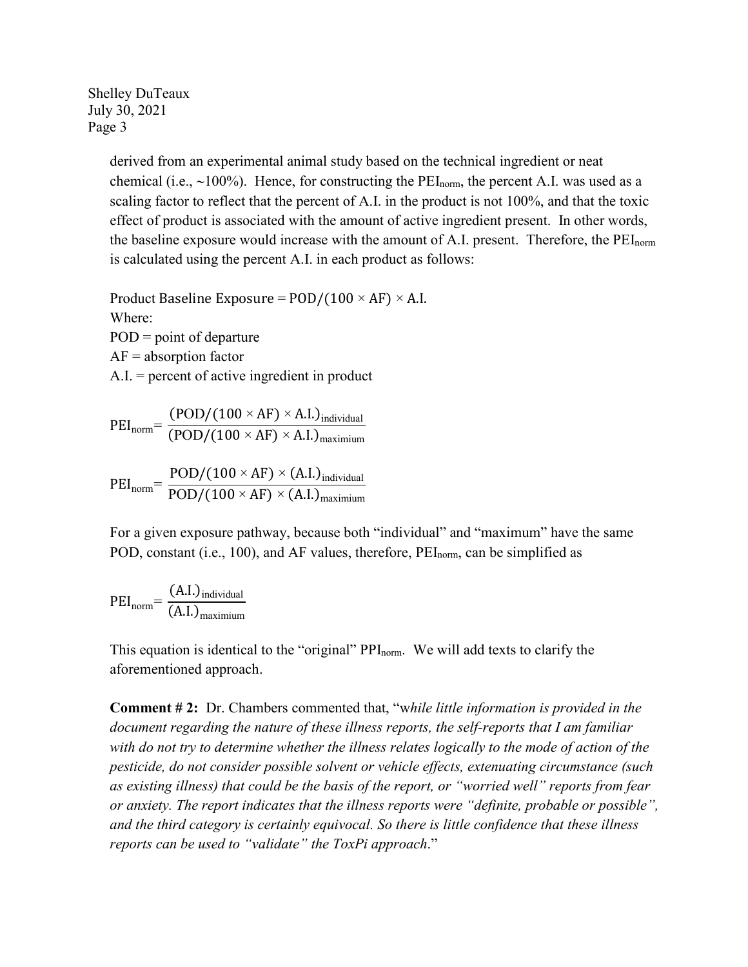> derived from an experimental animal study based on the technical ingredient or neat chemical (i.e., ~100%). Hence, for constructing the PEI<sub>norm</sub>, the percent A.I. was used as a scaling factor to reflect that the percent of A.I. in the product is not 100%, and that the toxic effect of product is associated with the amount of active ingredient present. In other words, the baseline exposure would increase with the amount of A.I. present. Therefore, the PEI<sub>norm</sub> is calculated using the percent A.I. in each product as follows:

Product Baseline Exposure =  $POD/(100 \times AF) \times A.I.$ Where:  $POD = point of departure$  $AF = absorption factor$ A.I. = percent of active ingredient in product

$$
PEI_{norm} = \frac{(POD/(100 \times AF) \times A.I.)_{individual}}{(POD/(100 \times AF) \times A.I.)_{maximum}}
$$

$$
PEI_{norm} = \frac{POD/(100 \times AF) \times (A.I.)_{individual}}{POD/(100 \times AF) \times (A.I.)_{maximum}}
$$

For a given exposure pathway, because both "individual" and "maximum" have the same POD, constant (i.e., 100), and AF values, therefore, PEI<sub>norm</sub>, can be simplified as

$$
PEI_{norm} = \frac{(A.I.)_{individual}}{(A.I.)_{maximum}}
$$

This equation is identical to the "original" PPI<sub>norm</sub>. We will add texts to clarify the aforementioned approach.

**Comment # 2:** Dr. Chambers commented that, "w*hile little information is provided in the document regarding the nature of these illness reports, the self-reports that I am familiar with do not try to determine whether the illness relates logically to the mode of action of the pesticide, do not consider possible solvent or vehicle effects, extenuating circumstance (such as existing illness) that could be the basis of the report, or "worried well" reports from fear or anxiety. The report indicates that the illness reports were "definite, probable or possible", and the third category is certainly equivocal. So there is little confidence that these illness reports can be used to "validate" the ToxPi approach*."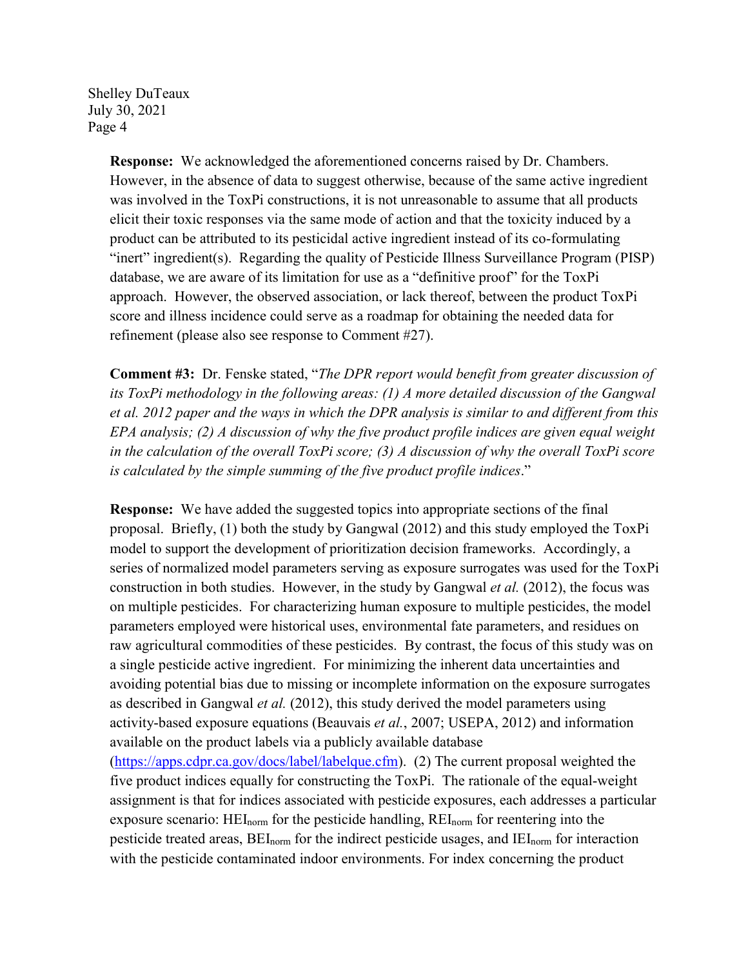> **Response:** We acknowledged the aforementioned concerns raised by Dr. Chambers. However, in the absence of data to suggest otherwise, because of the same active ingredient was involved in the ToxPi constructions, it is not unreasonable to assume that all products elicit their toxic responses via the same mode of action and that the toxicity induced by a product can be attributed to its pesticidal active ingredient instead of its co-formulating "inert" ingredient(s). Regarding the quality of Pesticide Illness Surveillance Program (PISP) database, we are aware of its limitation for use as a "definitive proof" for the ToxPi approach. However, the observed association, or lack thereof, between the product ToxPi score and illness incidence could serve as a roadmap for obtaining the needed data for refinement (please also see response to Comment #27).

> **Comment #3:** Dr. Fenske stated, "*The DPR report would benefit from greater discussion of its ToxPi methodology in the following areas: (1) A more detailed discussion of the Gangwal et al. 2012 paper and the ways in which the DPR analysis is similar to and different from this EPA analysis; (2) A discussion of why the five product profile indices are given equal weight in the calculation of the overall ToxPi score; (3) A discussion of why the overall ToxPi score is calculated by the simple summing of the five product profile indices*."

> **Response:** We have added the suggested topics into appropriate sections of the final proposal. Briefly, (1) both the study by Gangwal (2012) and this study employed the ToxPi model to support the development of prioritization decision frameworks. Accordingly, a series of normalized model parameters serving as exposure surrogates was used for the ToxPi construction in both studies. However, in the study by Gangwal *et al.* (2012), the focus was on multiple pesticides. For characterizing human exposure to multiple pesticides, the model parameters employed were historical uses, environmental fate parameters, and residues on raw agricultural commodities of these pesticides. By contrast, the focus of this study was on a single pesticide active ingredient. For minimizing the inherent data uncertainties and avoiding potential bias due to missing or incomplete information on the exposure surrogates as described in Gangwal *et al.* (2012), this study derived the model parameters using activity-based exposure equations (Beauvais *et al.*, 2007; USEPA, 2012) and information available on the product labels via a publicly available database [\(https://apps.cdpr.ca.gov/docs/label/labelque.cfm\)](about:blank). (2) The current proposal weighted the five product indices equally for constructing the ToxPi. The rationale of the equal-weight assignment is that for indices associated with pesticide exposures, each addresses a particular exposure scenario: HEI<sub>norm</sub> for the pesticide handling, REI<sub>norm</sub> for reentering into the pesticide treated areas, BEI<sub>norm</sub> for the indirect pesticide usages, and IEI<sub>norm</sub> for interaction with the pesticide contaminated indoor environments. For index concerning the product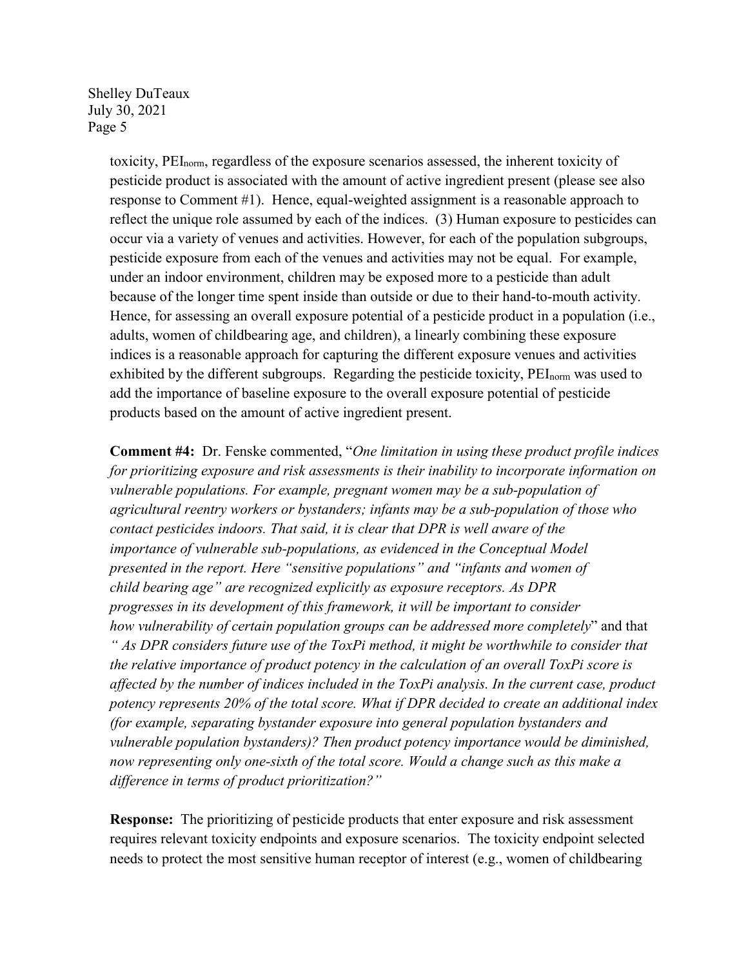> toxicity, PEInorm, regardless of the exposure scenarios assessed, the inherent toxicity of pesticide product is associated with the amount of active ingredient present (please see also response to Comment #1). Hence, equal-weighted assignment is a reasonable approach to reflect the unique role assumed by each of the indices. (3) Human exposure to pesticides can occur via a variety of venues and activities. However, for each of the population subgroups, pesticide exposure from each of the venues and activities may not be equal. For example, under an indoor environment, children may be exposed more to a pesticide than adult because of the longer time spent inside than outside or due to their hand-to-mouth activity. Hence, for assessing an overall exposure potential of a pesticide product in a population (i.e., adults, women of childbearing age, and children), a linearly combining these exposure indices is a reasonable approach for capturing the different exposure venues and activities exhibited by the different subgroups. Regarding the pesticide toxicity, PEI<sub>norm</sub> was used to add the importance of baseline exposure to the overall exposure potential of pesticide products based on the amount of active ingredient present.

> **Comment #4:** Dr. Fenske commented, "*One limitation in using these product profile indices for prioritizing exposure and risk assessments is their inability to incorporate information on vulnerable populations. For example, pregnant women may be a sub-population of agricultural reentry workers or bystanders; infants may be a sub-population of those who contact pesticides indoors. That said, it is clear that DPR is well aware of the importance of vulnerable sub-populations, as evidenced in the Conceptual Model presented in the report. Here "sensitive populations" and "infants and women of child bearing age" are recognized explicitly as exposure receptors. As DPR progresses in its development of this framework, it will be important to consider how vulnerability of certain population groups can be addressed more completely*" and that *" As DPR considers future use of the ToxPi method, it might be worthwhile to consider that the relative importance of product potency in the calculation of an overall ToxPi score is affected by the number of indices included in the ToxPi analysis. In the current case, product potency represents 20% of the total score. What if DPR decided to create an additional index (for example, separating bystander exposure into general population bystanders and vulnerable population bystanders)? Then product potency importance would be diminished, now representing only one-sixth of the total score. Would a change such as this make a difference in terms of product prioritization?"*

**Response:** The prioritizing of pesticide products that enter exposure and risk assessment requires relevant toxicity endpoints and exposure scenarios. The toxicity endpoint selected needs to protect the most sensitive human receptor of interest (e.g., women of childbearing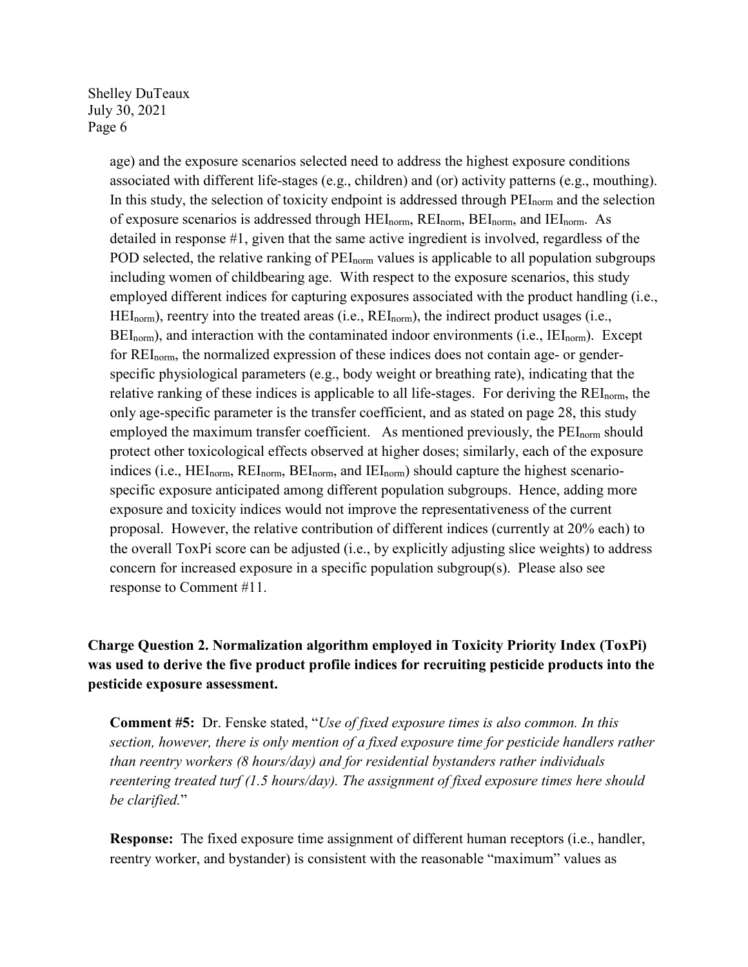> age) and the exposure scenarios selected need to address the highest exposure conditions associated with different life-stages (e.g., children) and (or) activity patterns (e.g., mouthing). In this study, the selection of toxicity endpoint is addressed through PEI<sub>norm</sub> and the selection of exposure scenarios is addressed through HEI<sub>norm</sub>, REI<sub>norm</sub>, BEI<sub>norm</sub>, and IEI<sub>norm</sub>. As detailed in response #1, given that the same active ingredient is involved, regardless of the POD selected, the relative ranking of PEI<sub>norm</sub> values is applicable to all population subgroups including women of childbearing age. With respect to the exposure scenarios, this study employed different indices for capturing exposures associated with the product handling (i.e.,  $HEI_{norm}$ ), reentry into the treated areas (i.e.,  $REI_{norm}$ ), the indirect product usages (i.e.,  $BEL_{\text{norm}}$ ), and interaction with the contaminated indoor environments (i.e.,  $IEI_{\text{norm}}$ ). Except for REI<sub>norm</sub>, the normalized expression of these indices does not contain age- or genderspecific physiological parameters (e.g., body weight or breathing rate), indicating that the relative ranking of these indices is applicable to all life-stages. For deriving the  $REI_{\text{norm}}$ , the only age-specific parameter is the transfer coefficient, and as stated on page 28, this study employed the maximum transfer coefficient. As mentioned previously, the  $PEI_{norm}$  should protect other toxicological effects observed at higher doses; similarly, each of the exposure indices (i.e., HEI<sub>norm</sub>, REI<sub>norm</sub>, BEI<sub>norm</sub>, and IEI<sub>norm</sub>) should capture the highest scenariospecific exposure anticipated among different population subgroups. Hence, adding more exposure and toxicity indices would not improve the representativeness of the current proposal. However, the relative contribution of different indices (currently at 20% each) to the overall ToxPi score can be adjusted (i.e., by explicitly adjusting slice weights) to address concern for increased exposure in a specific population subgroup(s). Please also see response to Comment #11.

### **Charge Question 2. Normalization algorithm employed in Toxicity Priority Index (ToxPi) was used to derive the five product profile indices for recruiting pesticide products into the pesticide exposure assessment.**

**Comment #5:** Dr. Fenske stated, "*Use of fixed exposure times is also common. In this section, however, there is only mention of a fixed exposure time for pesticide handlers rather than reentry workers (8 hours/day) and for residential bystanders rather individuals reentering treated turf (1.5 hours/day). The assignment of fixed exposure times here should be clarified.*"

**Response:** The fixed exposure time assignment of different human receptors (i.e., handler, reentry worker, and bystander) is consistent with the reasonable "maximum" values as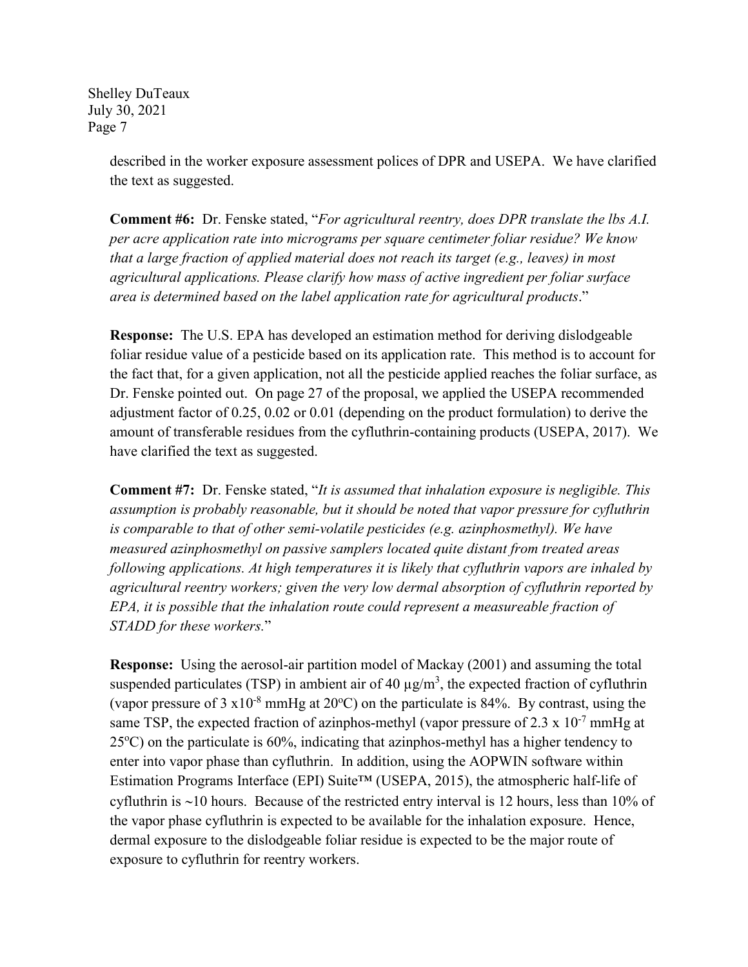> described in the worker exposure assessment polices of DPR and USEPA. We have clarified the text as suggested.

**Comment #6:** Dr. Fenske stated, "*For agricultural reentry, does DPR translate the lbs A.I. per acre application rate into micrograms per square centimeter foliar residue? We know that a large fraction of applied material does not reach its target (e.g., leaves) in most agricultural applications. Please clarify how mass of active ingredient per foliar surface area is determined based on the label application rate for agricultural products*."

**Response:** The U.S. EPA has developed an estimation method for deriving dislodgeable foliar residue value of a pesticide based on its application rate. This method is to account for the fact that, for a given application, not all the pesticide applied reaches the foliar surface, as Dr. Fenske pointed out. On page 27 of the proposal, we applied the USEPA recommended adjustment factor of 0.25, 0.02 or 0.01 (depending on the product formulation) to derive the amount of transferable residues from the cyfluthrin-containing products (USEPA, 2017). We have clarified the text as suggested.

**Comment #7:** Dr. Fenske stated, "*It is assumed that inhalation exposure is negligible. This assumption is probably reasonable, but it should be noted that vapor pressure for cyfluthrin is comparable to that of other semi-volatile pesticides (e.g. azinphosmethyl). We have measured azinphosmethyl on passive samplers located quite distant from treated areas following applications. At high temperatures it is likely that cyfluthrin vapors are inhaled by agricultural reentry workers; given the very low dermal absorption of cyfluthrin reported by EPA, it is possible that the inhalation route could represent a measureable fraction of STADD for these workers.*"

**Response:** Using the aerosol-air partition model of Mackay (2001) and assuming the total suspended particulates (TSP) in ambient air of 40  $\mu$ g/m<sup>3</sup>, the expected fraction of cyfluthrin (vapor pressure of 3  $x10^{-8}$  mmHg at 20°C) on the particulate is 84%. By contrast, using the same TSP, the expected fraction of azinphos-methyl (vapor pressure of 2.3 x  $10^{-7}$  mmHg at  $25^{\circ}$ C) on the particulate is 60%, indicating that azinphos-methyl has a higher tendency to enter into vapor phase than cyfluthrin. In addition, using the AOPWIN software within Estimation Programs Interface (EPI) Suite™ (USEPA, 2015), the atmospheric half-life of cyfluthrin is ∼10 hours. Because of the restricted entry interval is 12 hours, less than 10% of the vapor phase cyfluthrin is expected to be available for the inhalation exposure. Hence, dermal exposure to the dislodgeable foliar residue is expected to be the major route of exposure to cyfluthrin for reentry workers.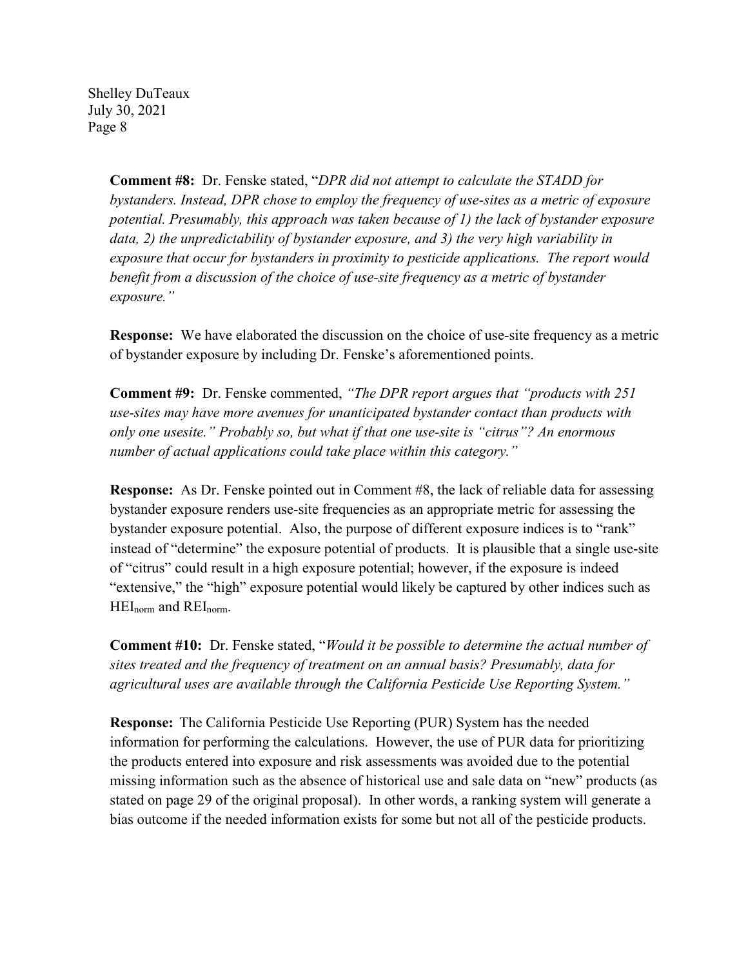> **Comment #8:** Dr. Fenske stated, "*DPR did not attempt to calculate the STADD for bystanders. Instead, DPR chose to employ the frequency of use-sites as a metric of exposure potential. Presumably, this approach was taken because of 1) the lack of bystander exposure data, 2) the unpredictability of bystander exposure, and 3) the very high variability in exposure that occur for bystanders in proximity to pesticide applications. The report would benefit from a discussion of the choice of use-site frequency as a metric of bystander exposure."*

> **Response:** We have elaborated the discussion on the choice of use-site frequency as a metric of bystander exposure by including Dr. Fenske's aforementioned points.

**Comment #9:** Dr. Fenske commented, *"The DPR report argues that "products with 251 use-sites may have more avenues for unanticipated bystander contact than products with only one usesite." Probably so, but what if that one use-site is "citrus"? An enormous number of actual applications could take place within this category."* 

**Response:** As Dr. Fenske pointed out in Comment #8, the lack of reliable data for assessing bystander exposure renders use-site frequencies as an appropriate metric for assessing the bystander exposure potential. Also, the purpose of different exposure indices is to "rank" instead of "determine" the exposure potential of products. It is plausible that a single use-site of "citrus" could result in a high exposure potential; however, if the exposure is indeed "extensive," the "high" exposure potential would likely be captured by other indices such as HEInorm and REInorm.

**Comment #10:** Dr. Fenske stated, "*Would it be possible to determine the actual number of sites treated and the frequency of treatment on an annual basis? Presumably, data for agricultural uses are available through the California Pesticide Use Reporting System."* 

**Response:** The California Pesticide Use Reporting (PUR) System has the needed information for performing the calculations. However, the use of PUR data for prioritizing the products entered into exposure and risk assessments was avoided due to the potential missing information such as the absence of historical use and sale data on "new" products (as stated on page 29 of the original proposal). In other words, a ranking system will generate a bias outcome if the needed information exists for some but not all of the pesticide products.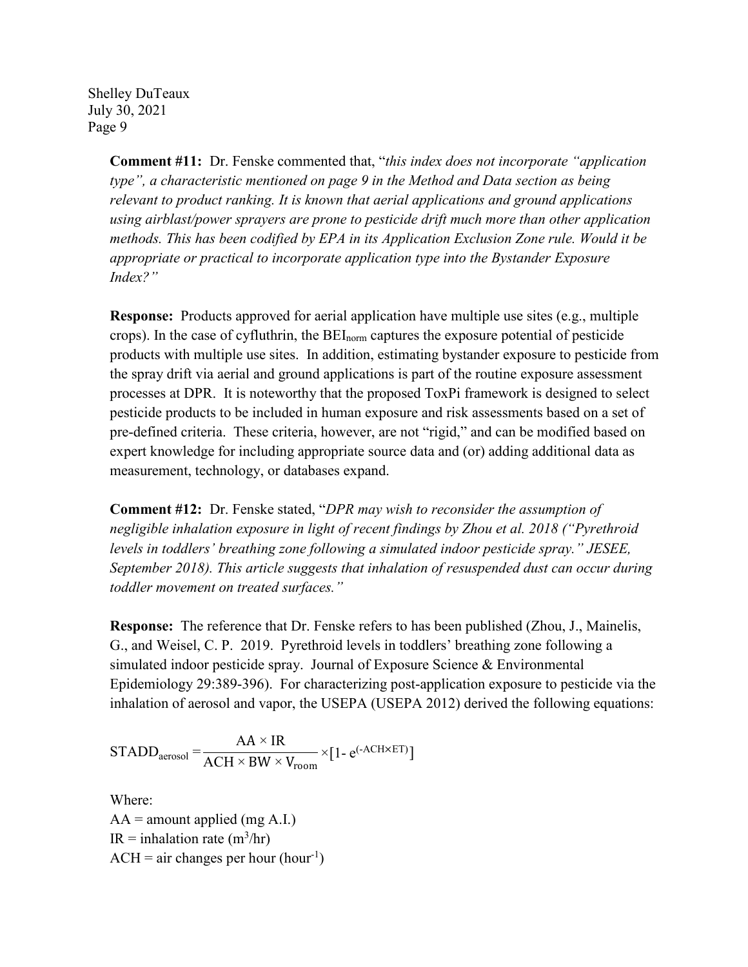> **Comment #11:** Dr. Fenske commented that, "*this index does not incorporate "application type", a characteristic mentioned on page 9 in the Method and Data section as being relevant to product ranking. It is known that aerial applications and ground applications using airblast/power sprayers are prone to pesticide drift much more than other application methods. This has been codified by EPA in its Application Exclusion Zone rule. Would it be appropriate or practical to incorporate application type into the Bystander Exposure Index?"*

**Response:** Products approved for aerial application have multiple use sites (e.g., multiple crops). In the case of cyfluthrin, the BEInorm captures the exposure potential of pesticide products with multiple use sites. In addition, estimating bystander exposure to pesticide from the spray drift via aerial and ground applications is part of the routine exposure assessment processes at DPR. It is noteworthy that the proposed ToxPi framework is designed to select pesticide products to be included in human exposure and risk assessments based on a set of pre-defined criteria. These criteria, however, are not "rigid," and can be modified based on expert knowledge for including appropriate source data and (or) adding additional data as measurement, technology, or databases expand.

**Comment #12:** Dr. Fenske stated, "*DPR may wish to reconsider the assumption of negligible inhalation exposure in light of recent findings by Zhou et al. 2018 ("Pyrethroid levels in toddlers' breathing zone following a simulated indoor pesticide spray." JESEE, September 2018). This article suggests that inhalation of resuspended dust can occur during toddler movement on treated surfaces."*

**Response:** The reference that Dr. Fenske refers to has been published (Zhou, J., Mainelis, G., and Weisel, C. P. 2019. Pyrethroid levels in toddlers' breathing zone following a simulated indoor pesticide spray. Journal of Exposure Science & Environmental Epidemiology 29:389-396). For characterizing post-application exposure to pesticide via the inhalation of aerosol and vapor, the USEPA (USEPA 2012) derived the following equations:

$$
STADD_{\text{aerosol}} = \frac{AA \times IR}{ACH \times BW \times V_{\text{room}}} \times [1 - e^{(-ACH \times ET)}]
$$

Where:  $AA =$  amount applied (mg A.I.) IR = inhalation rate  $(m^3/hr)$  $ACH = air changes per hour (hour<sup>-1</sup>)$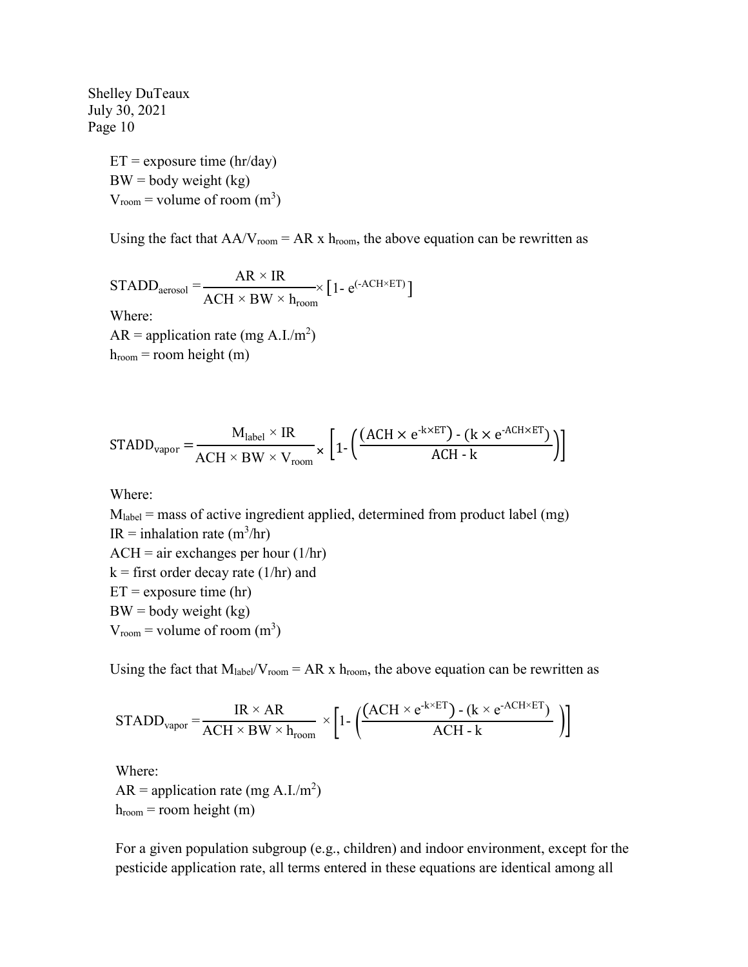> $ET =$  exposure time (hr/day)  $BW = body weight (kg)$  $V_{\text{room}} = \text{volume of room (m}^3)$

Using the fact that  $AA/V_{room} = AR \times h_{room}$ , the above equation can be rewritten as

STADD<sub>aerosol</sub> = 
$$
\frac{AR \times IR}{ACH \times BW \times h_{room}} \left[1 - e^{(-ACH \times ET)}\right]
$$
Where:  
AR = application rate (mg A.I./m<sup>2</sup>)  
 $h_{room}$  = room height (m)

$$
STADD_{vapor} = \frac{M_{label} \times IR}{ACH \times BW \times V_{room}} \times \left[1 - \left(\frac{(ACH \times e^{-k \times ET}) - (k \times e^{-ACH \times ET})}{ACH - k}\right)\right]
$$

Where:

 $M<sub>label</sub> = mass of active ingredient applied, determined from product label (mg)$ IR = inhalation rate  $(m^3/hr)$  $ACH = air$  exchanges per hour  $(1/hr)$  $k =$  first order decay rate (1/hr) and  $ET =$  exposure time (hr)  $BW = body weight (kg)$  $V_{\text{room}} = \text{volume of room (m}^3)$ 

Using the fact that  $M_{\text{label}}/V_{\text{room}} = AR \times h_{\text{room}}$ , the above equation can be rewritten as

$$
STADD_{vapor} = \frac{IR \times AR}{ACH \times BW \times h_{room}} \times \left[1 - \left(\frac{(ACH \times e^{-k \times ET}) - (k \times e^{-ACH \times ET})}{ACH - k}\right)\right]
$$

Where:  $AR =$  application rate (mg A.I./m<sup>2</sup>)  $h_{room}$  = room height (m)

For a given population subgroup (e.g., children) and indoor environment, except for the pesticide application rate, all terms entered in these equations are identical among all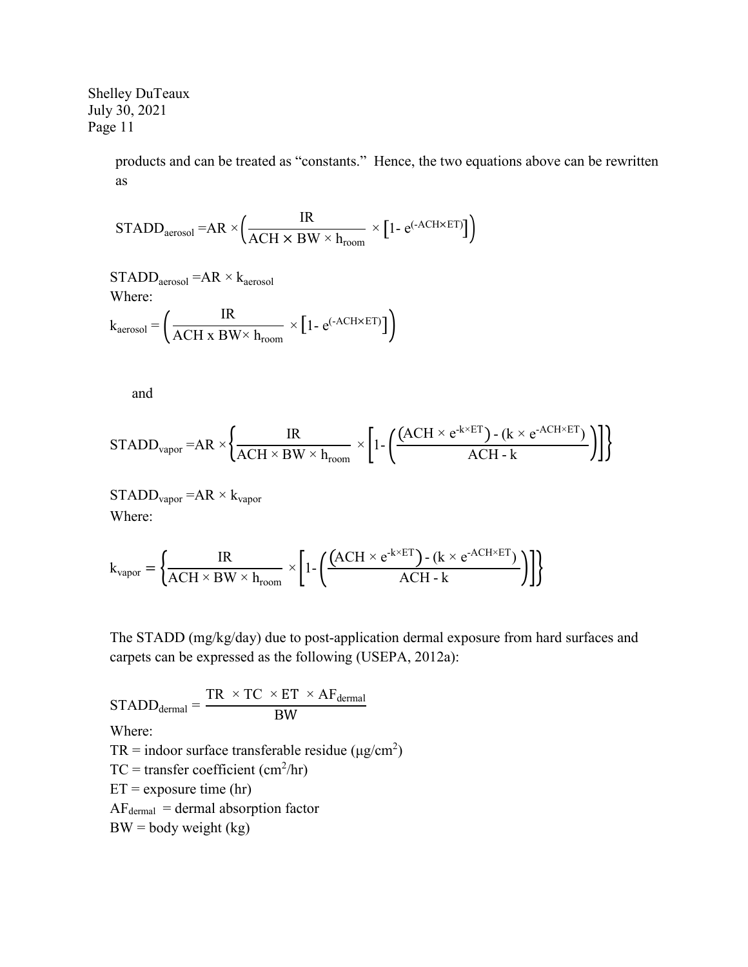> products and can be treated as "constants." Hence, the two equations above can be rewritten as

$$
STADD_{aerosol} = AR \times \left(\frac{IR}{ACH \times BW \times h_{room}} \times [1 - e^{(-ACH \times ET)}]\right)
$$

 $STADD_{\text{aerosol}} = AR \times k_{\text{aerosol}}$ Where:

$$
k_{\text{aerosol}} = \left(\frac{IR}{ACH \times BW \times h_{\text{room}}} \times [1 - e^{(-ACH \times ET)}]\right)
$$

and

$$
STADD_{vapor} = AR \times \left\{ \frac{IR}{ACH \times BW \times h_{room}} \times \left[ 1 - \left( \frac{(ACH \times e^{-k \times ET}) - (k \times e^{-ACH \times ET})}{ACH - k} \right) \right] \right\}
$$

 $STADD_{vapor} = AR \times k_{vapor}$ Where:

$$
k_{\text{vapor}} = \left\{ \frac{IR}{ACH \times BW \times h_{\text{room}}} \times \left[ 1 - \left( \frac{(ACH \times e^{-k \times ET}) - (k \times e^{-ACH \times ET})}{ACH - k} \right) \right] \right\}
$$

The STADD (mg/kg/day) due to post-application dermal exposure from hard surfaces and carpets can be expressed as the following (USEPA, 2012a):

 $STADD_{\text{dermal}} =$  $TR \times TC \times ET \times AF_{\text{dermal}}$ BW Where: TR = indoor surface transferable residue ( $\mu$ g/cm<sup>2</sup>)  $TC = \text{transfer coefficient (cm}^2/\text{hr})$  $ET =$  exposure time (hr)  $AF_{\text{dermal}} = \text{dermal absorption factor}$  $BW = body weight (kg)$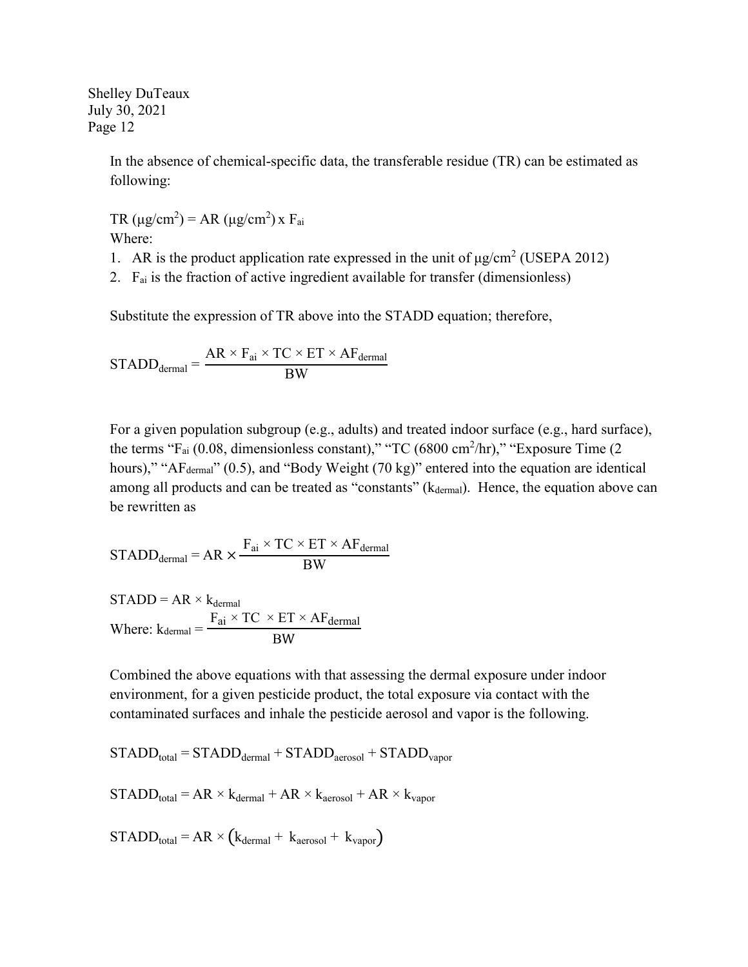> In the absence of chemical-specific data, the transferable residue (TR) can be estimated as following:

TR ( $\mu$ g/cm<sup>2</sup>) = AR ( $\mu$ g/cm<sup>2</sup>) x F<sub>ai</sub> Where:

- 1. AR is the product application rate expressed in the unit of  $\mu$ g/cm<sup>2</sup> (USEPA 2012)
- 2.  $F_{ai}$  is the fraction of active ingredient available for transfer (dimensionless)

Substitute the expression of TR above into the STADD equation; therefore,

$$
STADD_{\text{dermal}} = \frac{AR \times F_{ai} \times TC \times ET \times AF_{\text{dermal}}}{BW}
$$

For a given population subgroup (e.g., adults) and treated indoor surface (e.g., hard surface), the terms " $F_{ai}$  (0.08, dimensionless constant)," "TC (6800 cm<sup>2</sup>/hr)," "Exposure Time (2) hours)," "A $F_{\text{dermal}}$ " (0.5), and "Body Weight (70 kg)" entered into the equation are identical among all products and can be treated as "constants" (kdermal). Hence, the equation above can be rewritten as

$$
STADD_{\text{dermal}} = AR \times \frac{F_{ai} \times TC \times ET \times AF_{\text{dermal}}}{BW}
$$

$$
STADD = AR \times k_{\text{dermal}}
$$
  
Where:  $k_{\text{dermal}} = \frac{F_{ai} \times TC \times ET \times AF_{\text{dermal}}}{BW}$ 

Combined the above equations with that assessing the dermal exposure under indoor environment, for a given pesticide product, the total exposure via contact with the contaminated surfaces and inhale the pesticide aerosol and vapor is the following.

$$
STADD_{total} = STADD_{dermal} + STADD_{aerosol} + STADD_{vapor}
$$

$$
STADD_{total} = AR \times k_{dermal} + AR \times k_{aerosol} + AR \times k_{vapor}
$$

 $STADD_{total} = AR \times (k_{dermal} + k_{aerosol} + k_{vapor})$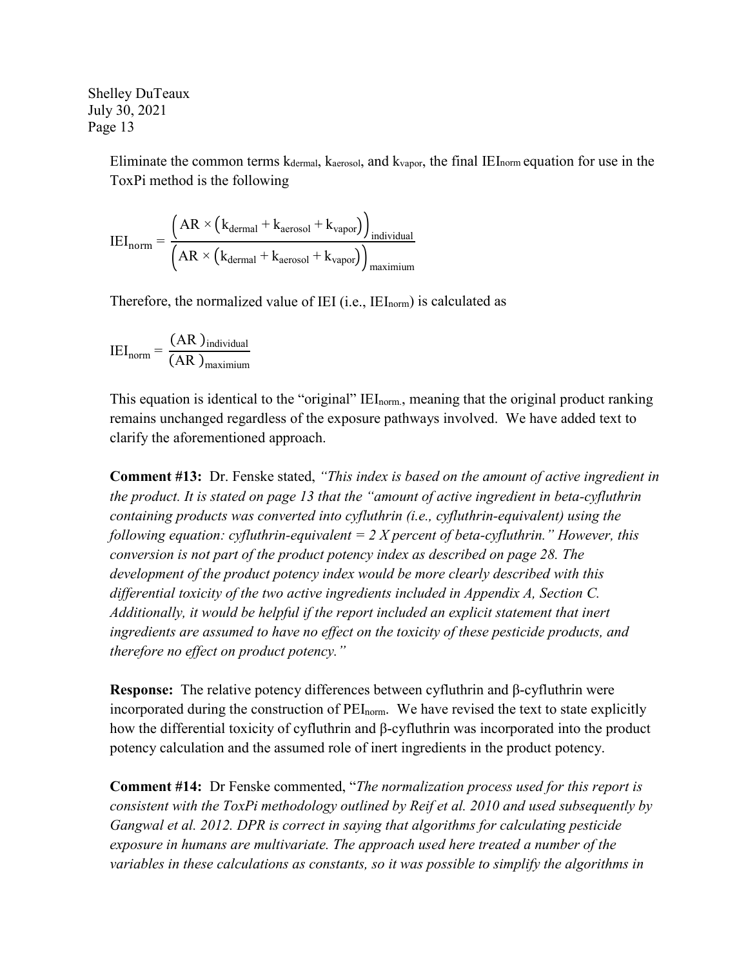> Eliminate the common terms  $k_{\text{dermal}}$ ,  $k_{\text{aerosol}}$ , and  $k_{\text{vapor}}$ , the final IEI<sub>norm</sub> equation for use in the ToxPi method is the following

$$
IEI_{norm} = \frac{\left(AR \times \left(k_{\text{dermal}} + k_{\text{aerosol}} + k_{\text{vapor}}\right)\right)_{individual}}{\left(AR \times \left(k_{\text{dermal}} + k_{\text{aerosol}} + k_{\text{vapor}}\right)\right)_{maximum}}
$$

Therefore, the normalized value of IEI (i.e., IEI<sub>norm</sub>) is calculated as

$$
IEI_{norm} = \frac{(AR)_{individual}}{(AR)_{maximum}}
$$

This equation is identical to the "original" IEI<sub>norm</sub>, meaning that the original product ranking remains unchanged regardless of the exposure pathways involved. We have added text to clarify the aforementioned approach.

**Comment #13:** Dr. Fenske stated, *"This index is based on the amount of active ingredient in the product. It is stated on page 13 that the "amount of active ingredient in beta-cyfluthrin containing products was converted into cyfluthrin (i.e., cyfluthrin-equivalent) using the following equation: cyfluthrin-equivalent = 2 X percent of beta-cyfluthrin." However, this conversion is not part of the product potency index as described on page 28. The development of the product potency index would be more clearly described with this differential toxicity of the two active ingredients included in Appendix A, Section C. Additionally, it would be helpful if the report included an explicit statement that inert ingredients are assumed to have no effect on the toxicity of these pesticide products, and therefore no effect on product potency."*

**Response:** The relative potency differences between cyfluthrin and β-cyfluthrin were incorporated during the construction of PEI<sub>norm</sub>. We have revised the text to state explicitly how the differential toxicity of cyfluthrin and β-cyfluthrin was incorporated into the product potency calculation and the assumed role of inert ingredients in the product potency.

**Comment #14:** Dr Fenske commented, "*The normalization process used for this report is consistent with the ToxPi methodology outlined by Reif et al. 2010 and used subsequently by Gangwal et al. 2012. DPR is correct in saying that algorithms for calculating pesticide exposure in humans are multivariate. The approach used here treated a number of the variables in these calculations as constants, so it was possible to simplify the algorithms in*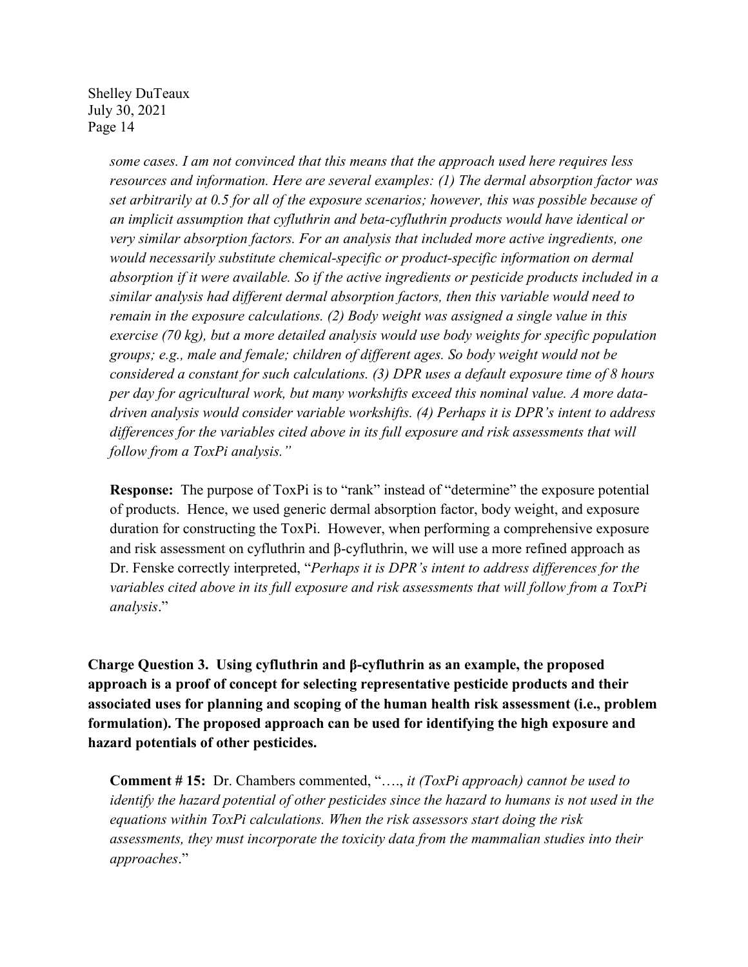> *some cases. I am not convinced that this means that the approach used here requires less resources and information. Here are several examples: (1) The dermal absorption factor was set arbitrarily at 0.5 for all of the exposure scenarios; however, this was possible because of an implicit assumption that cyfluthrin and beta-cyfluthrin products would have identical or very similar absorption factors. For an analysis that included more active ingredients, one would necessarily substitute chemical-specific or product-specific information on dermal absorption if it were available. So if the active ingredients or pesticide products included in a similar analysis had different dermal absorption factors, then this variable would need to remain in the exposure calculations. (2) Body weight was assigned a single value in this exercise (70 kg), but a more detailed analysis would use body weights for specific population groups; e.g., male and female; children of different ages. So body weight would not be considered a constant for such calculations. (3) DPR uses a default exposure time of 8 hours per day for agricultural work, but many workshifts exceed this nominal value. A more datadriven analysis would consider variable workshifts. (4) Perhaps it is DPR's intent to address differences for the variables cited above in its full exposure and risk assessments that will follow from a ToxPi analysis."*

**Response:** The purpose of ToxPi is to "rank" instead of "determine" the exposure potential of products. Hence, we used generic dermal absorption factor, body weight, and exposure duration for constructing the ToxPi. However, when performing a comprehensive exposure and risk assessment on cyfluthrin and β-cyfluthrin, we will use a more refined approach as Dr. Fenske correctly interpreted, "*Perhaps it is DPR's intent to address differences for the variables cited above in its full exposure and risk assessments that will follow from a ToxPi analysis*."

**Charge Question 3. Using cyfluthrin and β-cyfluthrin as an example, the proposed approach is a proof of concept for selecting representative pesticide products and their associated uses for planning and scoping of the human health risk assessment (i.e., problem formulation). The proposed approach can be used for identifying the high exposure and hazard potentials of other pesticides.**

**Comment # 15:** Dr. Chambers commented, "…., *it (ToxPi approach) cannot be used to identify the hazard potential of other pesticides since the hazard to humans is not used in the equations within ToxPi calculations. When the risk assessors start doing the risk assessments, they must incorporate the toxicity data from the mammalian studies into their approaches*."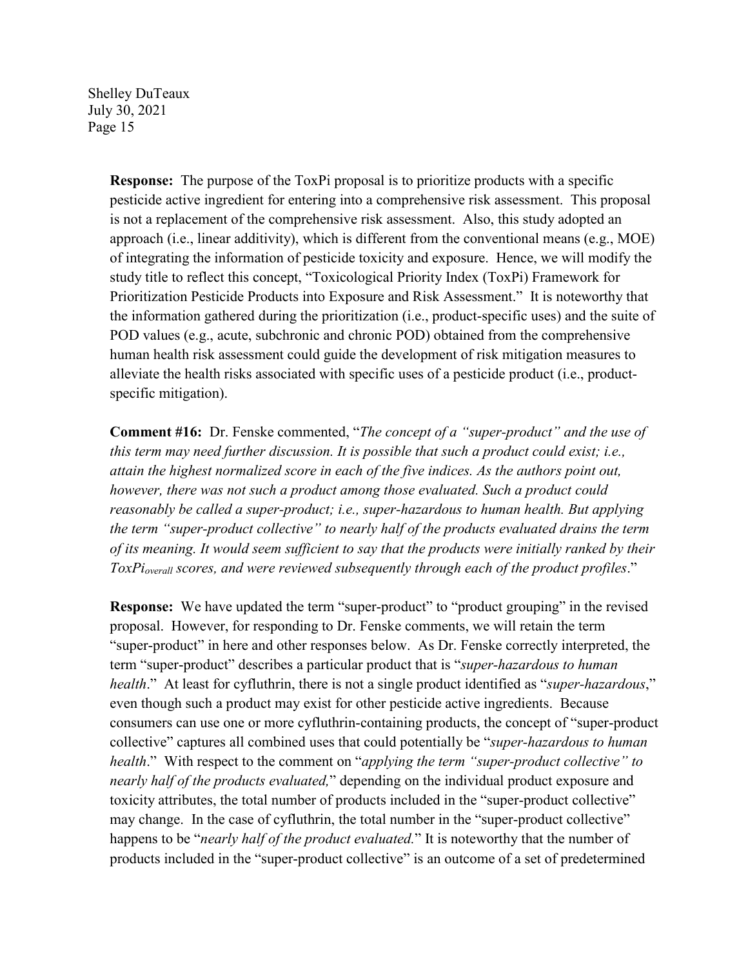> **Response:** The purpose of the ToxPi proposal is to prioritize products with a specific pesticide active ingredient for entering into a comprehensive risk assessment. This proposal is not a replacement of the comprehensive risk assessment. Also, this study adopted an approach (i.e., linear additivity), which is different from the conventional means (e.g., MOE) of integrating the information of pesticide toxicity and exposure. Hence, we will modify the study title to reflect this concept, "Toxicological Priority Index (ToxPi) Framework for Prioritization Pesticide Products into Exposure and Risk Assessment." It is noteworthy that the information gathered during the prioritization (i.e., product-specific uses) and the suite of POD values (e.g., acute, subchronic and chronic POD) obtained from the comprehensive human health risk assessment could guide the development of risk mitigation measures to alleviate the health risks associated with specific uses of a pesticide product (i.e., productspecific mitigation).

> **Comment #16:** Dr. Fenske commented, "*The concept of a "super-product" and the use of this term may need further discussion. It is possible that such a product could exist; i.e., attain the highest normalized score in each of the five indices. As the authors point out, however, there was not such a product among those evaluated. Such a product could reasonably be called a super-product; i.e., super-hazardous to human health. But applying the term "super-product collective" to nearly half of the products evaluated drains the term of its meaning. It would seem sufficient to say that the products were initially ranked by their ToxPioverall scores, and were reviewed subsequently through each of the product profiles*."

> **Response:** We have updated the term "super-product" to "product grouping" in the revised proposal. However, for responding to Dr. Fenske comments, we will retain the term "super-product" in here and other responses below. As Dr. Fenske correctly interpreted, the term "super-product" describes a particular product that is "*super-hazardous to human health*." At least for cyfluthrin, there is not a single product identified as "*super-hazardous*," even though such a product may exist for other pesticide active ingredients. Because consumers can use one or more cyfluthrin-containing products, the concept of "super-product collective" captures all combined uses that could potentially be "*super-hazardous to human health*." With respect to the comment on "*applying the term "super-product collective" to nearly half of the products evaluated,*" depending on the individual product exposure and toxicity attributes, the total number of products included in the "super-product collective" may change. In the case of cyfluthrin, the total number in the "super-product collective" happens to be "*nearly half of the product evaluated.*" It is noteworthy that the number of products included in the "super-product collective" is an outcome of a set of predetermined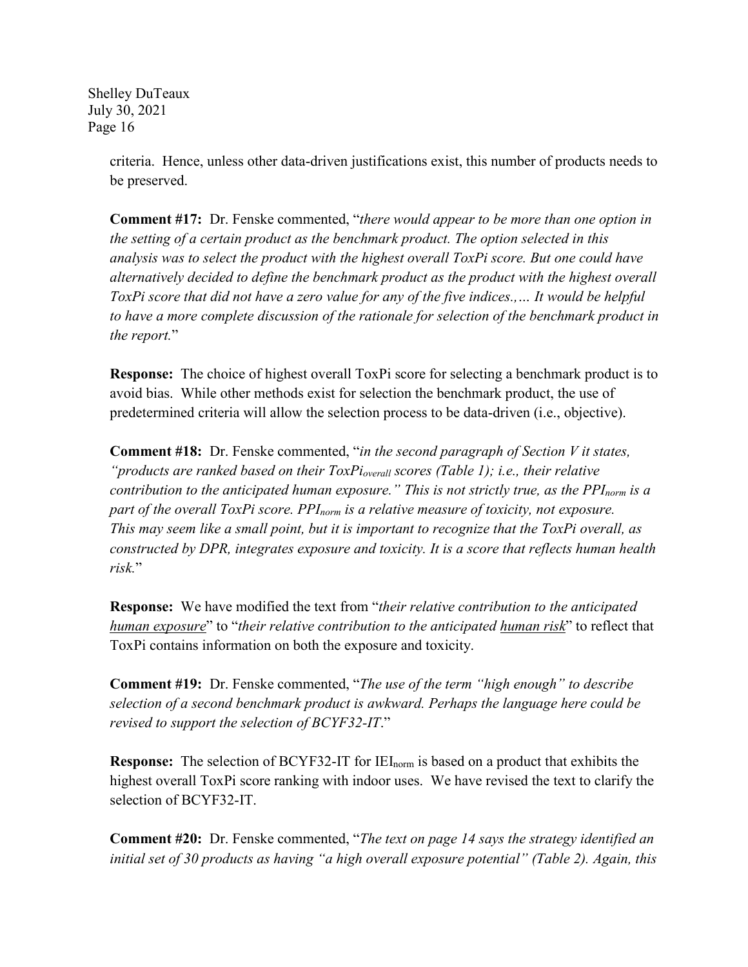> criteria. Hence, unless other data-driven justifications exist, this number of products needs to be preserved.

> **Comment #17:** Dr. Fenske commented, "*there would appear to be more than one option in the setting of a certain product as the benchmark product. The option selected in this analysis was to select the product with the highest overall ToxPi score. But one could have alternatively decided to define the benchmark product as the product with the highest overall ToxPi score that did not have a zero value for any of the five indices..... It would be helpful to have a more complete discussion of the rationale for selection of the benchmark product in the report.*"

> **Response:** The choice of highest overall ToxPi score for selecting a benchmark product is to avoid bias. While other methods exist for selection the benchmark product, the use of predetermined criteria will allow the selection process to be data-driven (i.e., objective).

> **Comment #18:** Dr. Fenske commented, "*in the second paragraph of Section V it states, "products are ranked based on their ToxPioverall scores (Table 1); i.e., their relative contribution to the anticipated human exposure.*" This is not strictly true, as the PPI<sub>norm</sub> is a *part of the overall ToxPi score. PPInorm is a relative measure of toxicity, not exposure. This may seem like a small point, but it is important to recognize that the ToxPi overall, as constructed by DPR, integrates exposure and toxicity. It is a score that reflects human health risk.*"

> **Response:** We have modified the text from "*their relative contribution to the anticipated human exposure*" to "*their relative contribution to the anticipated human risk*" to reflect that ToxPi contains information on both the exposure and toxicity.

**Comment #19:** Dr. Fenske commented, "*The use of the term "high enough" to describe selection of a second benchmark product is awkward. Perhaps the language here could be revised to support the selection of BCYF32-IT*."

**Response:** The selection of BCYF32-IT for IEI<sub>norm</sub> is based on a product that exhibits the highest overall ToxPi score ranking with indoor uses. We have revised the text to clarify the selection of BCYF32-IT.

**Comment #20:** Dr. Fenske commented, "*The text on page 14 says the strategy identified an initial set of 30 products as having "a high overall exposure potential" (Table 2). Again, this*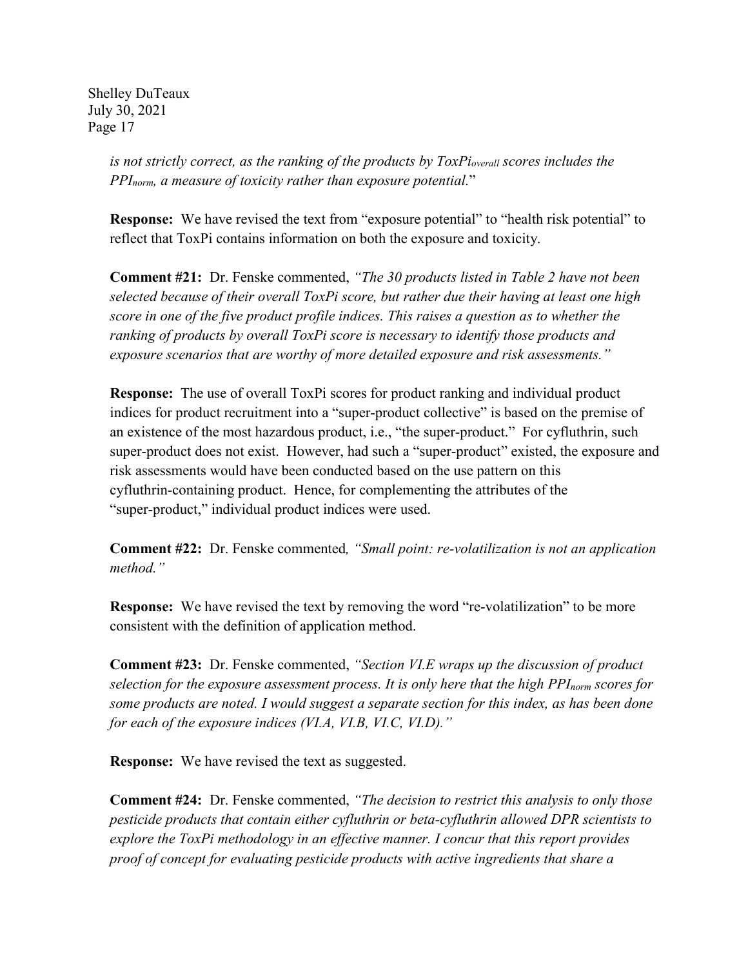> *is not strictly correct, as the ranking of the products by ToxPi<sub>overall</sub> scores includes the PPInorm, a measure of toxicity rather than exposure potential.*"

**Response:** We have revised the text from "exposure potential" to "health risk potential" to reflect that ToxPi contains information on both the exposure and toxicity.

**Comment #21:** Dr. Fenske commented, *"The 30 products listed in Table 2 have not been selected because of their overall ToxPi score, but rather due their having at least one high score in one of the five product profile indices. This raises a question as to whether the ranking of products by overall ToxPi score is necessary to identify those products and exposure scenarios that are worthy of more detailed exposure and risk assessments."* 

**Response:** The use of overall ToxPi scores for product ranking and individual product indices for product recruitment into a "super-product collective" is based on the premise of an existence of the most hazardous product, i.e., "the super-product." For cyfluthrin, such super-product does not exist. However, had such a "super-product" existed, the exposure and risk assessments would have been conducted based on the use pattern on this cyfluthrin-containing product. Hence, for complementing the attributes of the "super-product," individual product indices were used.

**Comment #22:** Dr. Fenske commented*, "Small point: re-volatilization is not an application method."*

**Response:** We have revised the text by removing the word "re-volatilization" to be more consistent with the definition of application method.

**Comment #23:** Dr. Fenske commented, *"Section VI.E wraps up the discussion of product selection for the exposure assessment process. It is only here that the high PPInorm scores for some products are noted. I would suggest a separate section for this index, as has been done for each of the exposure indices (VI.A, VI.B, VI.C, VI.D)."*

**Response:** We have revised the text as suggested.

**Comment #24:** Dr. Fenske commented, *"The decision to restrict this analysis to only those pesticide products that contain either cyfluthrin or beta-cyfluthrin allowed DPR scientists to explore the ToxPi methodology in an effective manner. I concur that this report provides proof of concept for evaluating pesticide products with active ingredients that share a*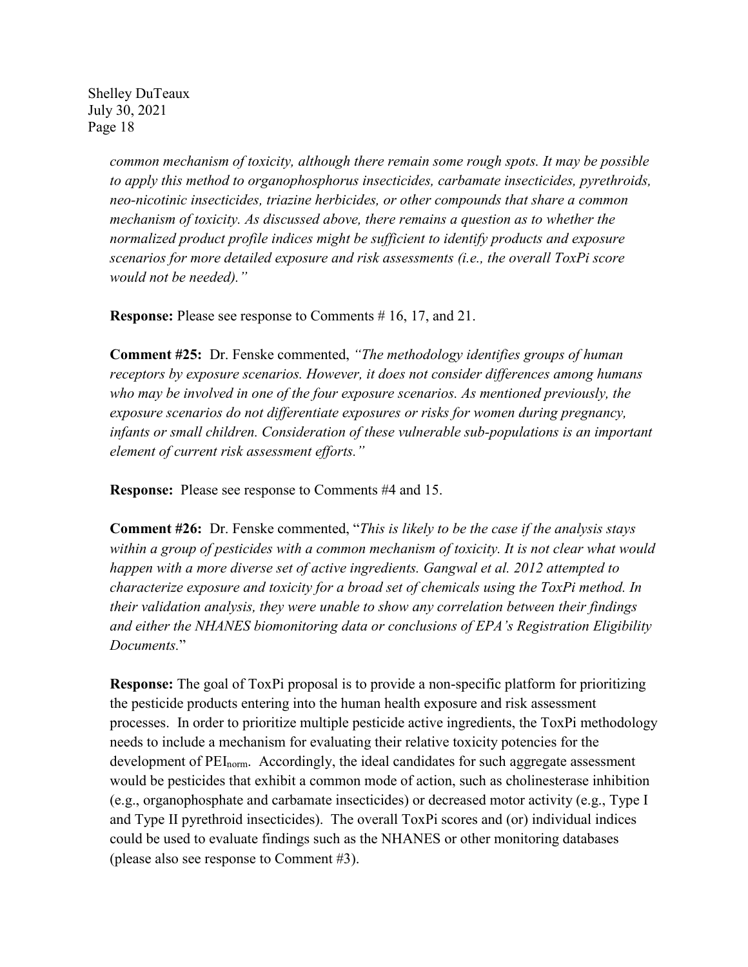> *common mechanism of toxicity, although there remain some rough spots. It may be possible to apply this method to organophosphorus insecticides, carbamate insecticides, pyrethroids, neo-nicotinic insecticides, triazine herbicides, or other compounds that share a common mechanism of toxicity. As discussed above, there remains a question as to whether the normalized product profile indices might be sufficient to identify products and exposure scenarios for more detailed exposure and risk assessments (i.e., the overall ToxPi score would not be needed)."*

**Response:** Please see response to Comments # 16, 17, and 21.

**Comment #25:** Dr. Fenske commented, *"The methodology identifies groups of human receptors by exposure scenarios. However, it does not consider differences among humans who may be involved in one of the four exposure scenarios. As mentioned previously, the exposure scenarios do not differentiate exposures or risks for women during pregnancy, infants or small children. Consideration of these vulnerable sub-populations is an important element of current risk assessment efforts."*

**Response:** Please see response to Comments #4 and 15.

**Comment #26:** Dr. Fenske commented, "*This is likely to be the case if the analysis stays within a group of pesticides with a common mechanism of toxicity. It is not clear what would happen with a more diverse set of active ingredients. Gangwal et al. 2012 attempted to characterize exposure and toxicity for a broad set of chemicals using the ToxPi method. In their validation analysis, they were unable to show any correlation between their findings and either the NHANES biomonitoring data or conclusions of EPA's Registration Eligibility Documents.*"

**Response:** The goal of ToxPi proposal is to provide a non-specific platform for prioritizing the pesticide products entering into the human health exposure and risk assessment processes. In order to prioritize multiple pesticide active ingredients, the ToxPi methodology needs to include a mechanism for evaluating their relative toxicity potencies for the development of  $PEI_{norm}$ . Accordingly, the ideal candidates for such aggregate assessment would be pesticides that exhibit a common mode of action, such as cholinesterase inhibition (e.g., organophosphate and carbamate insecticides) or decreased motor activity (e.g., Type I and Type II pyrethroid insecticides). The overall ToxPi scores and (or) individual indices could be used to evaluate findings such as the NHANES or other monitoring databases (please also see response to Comment #3).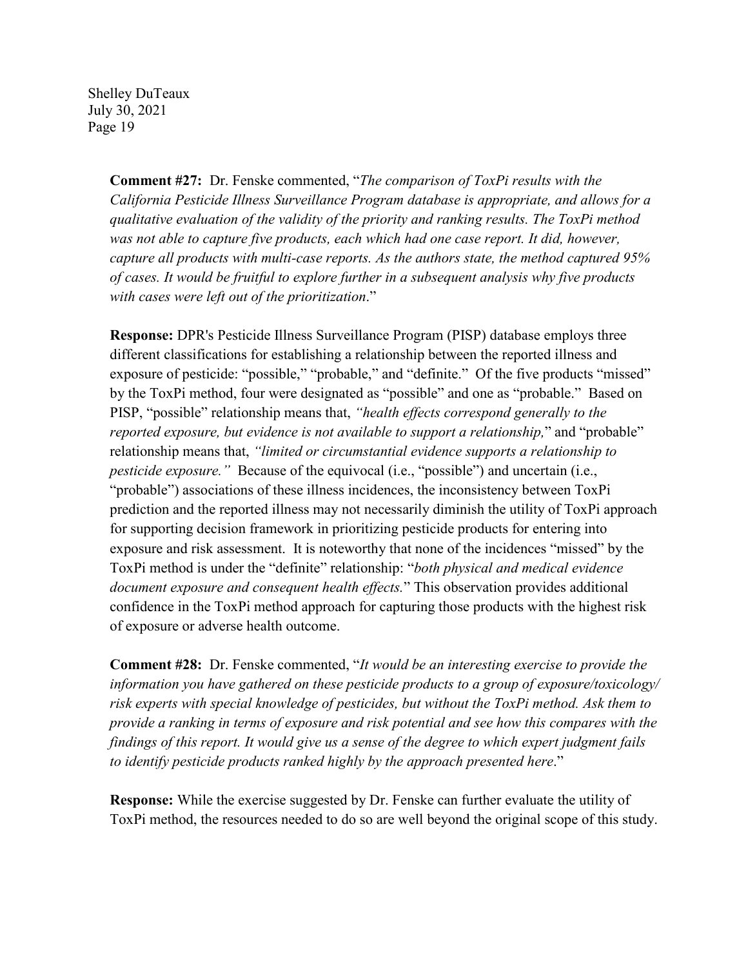> **Comment #27:** Dr. Fenske commented, "*The comparison of ToxPi results with the California Pesticide Illness Surveillance Program database is appropriate, and allows for a qualitative evaluation of the validity of the priority and ranking results. The ToxPi method*  was not able to capture five products, each which had one case report. It did, however, *capture all products with multi-case reports. As the authors state, the method captured 95% of cases. It would be fruitful to explore further in a subsequent analysis why five products with cases were left out of the prioritization*."

**Response:** DPR's Pesticide Illness Surveillance Program (PISP) database employs three different classifications for establishing a relationship between the reported illness and exposure of pesticide: "possible," "probable," and "definite." Of the five products "missed" by the ToxPi method, four were designated as "possible" and one as "probable." Based on PISP, "possible" relationship means that, *"health effects correspond generally to the reported exposure, but evidence is not available to support a relationship,*" and "probable" relationship means that, *"limited or circumstantial evidence supports a relationship to pesticide exposure.*" Because of the equivocal (i.e., "possible") and uncertain (i.e., "probable") associations of these illness incidences, the inconsistency between ToxPi prediction and the reported illness may not necessarily diminish the utility of ToxPi approach for supporting decision framework in prioritizing pesticide products for entering into exposure and risk assessment. It is noteworthy that none of the incidences "missed" by the ToxPi method is under the "definite" relationship: "*both physical and medical evidence document exposure and consequent health effects.*" This observation provides additional confidence in the ToxPi method approach for capturing those products with the highest risk of exposure or adverse health outcome.

**Comment #28:** Dr. Fenske commented, "*It would be an interesting exercise to provide the information you have gathered on these pesticide products to a group of exposure/toxicology/ risk experts with special knowledge of pesticides, but without the ToxPi method. Ask them to provide a ranking in terms of exposure and risk potential and see how this compares with the findings of this report. It would give us a sense of the degree to which expert judgment fails to identify pesticide products ranked highly by the approach presented here*."

**Response:** While the exercise suggested by Dr. Fenske can further evaluate the utility of ToxPi method, the resources needed to do so are well beyond the original scope of this study.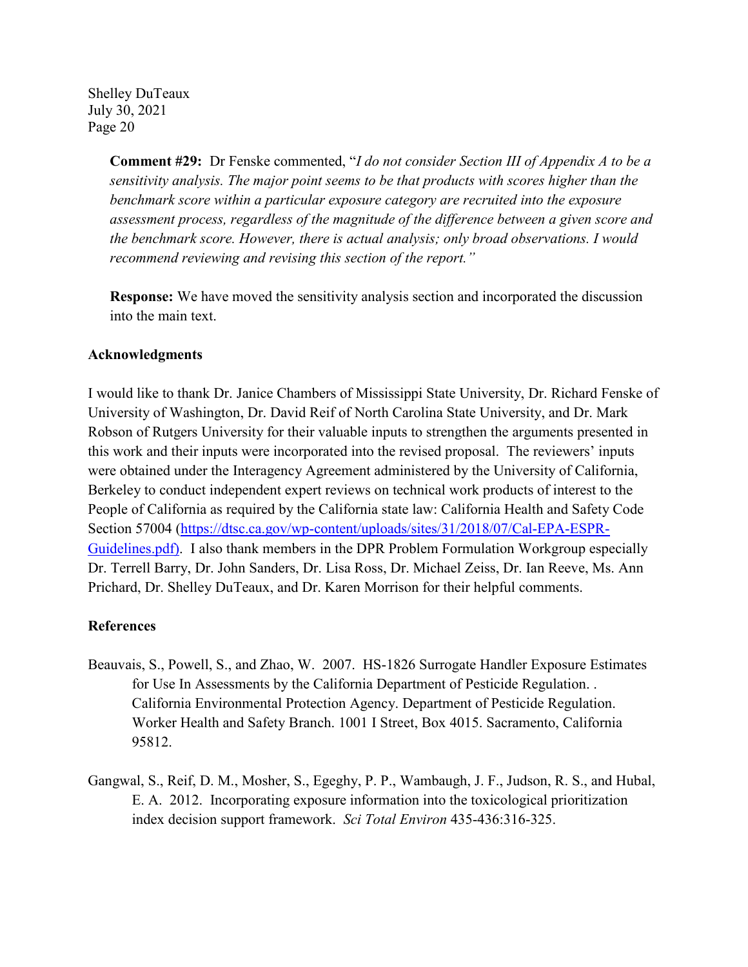> **Comment #29:** Dr Fenske commented, "*I do not consider Section III of Appendix A to be a sensitivity analysis. The major point seems to be that products with scores higher than the benchmark score within a particular exposure category are recruited into the exposure assessment process, regardless of the magnitude of the difference between a given score and the benchmark score. However, there is actual analysis; only broad observations. I would recommend reviewing and revising this section of the report."*

**Response:** We have moved the sensitivity analysis section and incorporated the discussion into the main text.

#### **Acknowledgments**

I would like to thank Dr. Janice Chambers of Mississippi State University, Dr. Richard Fenske of University of Washington, Dr. David Reif of North Carolina State University, and Dr. Mark Robson of Rutgers University for their valuable inputs to strengthen the arguments presented in this work and their inputs were incorporated into the revised proposal. The reviewers' inputs were obtained under the Interagency Agreement administered by the University of California, Berkeley to conduct independent expert reviews on technical work products of interest to the People of California as required by the California state law: California Health and Safety Code Section 57004 [\(https://dtsc.ca.gov/wp-content/uploads/sites/31/2018/07/Cal-EPA-ESPR-](about:blank)[Guidelines.pdf\)](about:blank). I also thank members in the DPR Problem Formulation Workgroup especially Dr. Terrell Barry, Dr. John Sanders, Dr. Lisa Ross, Dr. Michael Zeiss, Dr. Ian Reeve, Ms. Ann Prichard, Dr. Shelley DuTeaux, and Dr. Karen Morrison for their helpful comments.

#### **References**

- Beauvais, S., Powell, S., and Zhao, W. 2007. HS-1826 Surrogate Handler Exposure Estimates for Use In Assessments by the California Department of Pesticide Regulation. . California Environmental Protection Agency. Department of Pesticide Regulation. Worker Health and Safety Branch. 1001 I Street, Box 4015. Sacramento, California 95812.
- Gangwal, S., Reif, D. M., Mosher, S., Egeghy, P. P., Wambaugh, J. F., Judson, R. S., and Hubal, E. A. 2012. Incorporating exposure information into the toxicological prioritization index decision support framework. *Sci Total Environ* 435-436:316-325.